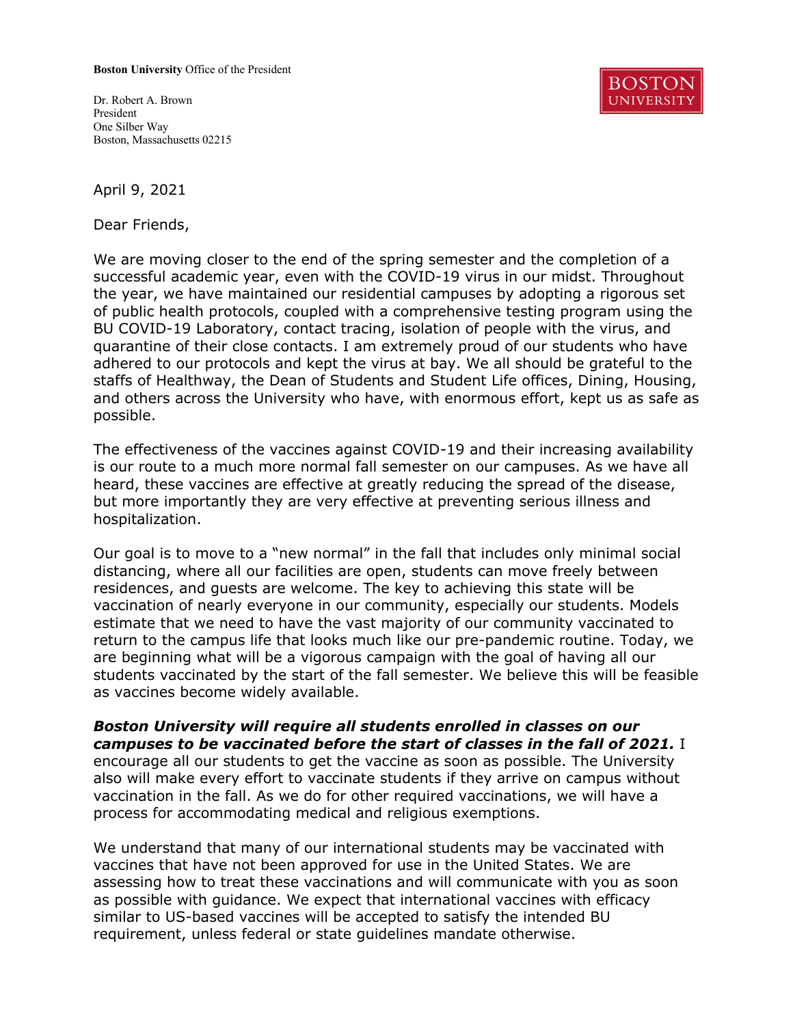## **Boston University** Office of the President

Dr. Robert A. Brown President One Silber Way Boston, Massachusetts 02215



April 9, 2021

Dear Friends,

We are moving closer to the end of the spring semester and the completion of a successful academic year, even with the COVID-19 virus in our midst. Throughout the year, we have maintained our residential campuses by adopting a rigorous set of public health protocols, coupled with a comprehensive testing program using the BU COVID-19 Laboratory, contact tracing, isolation of people with the virus, and quarantine of their close contacts. I am extremely proud of our students who have adhered to our protocols and kept the virus at bay. We all should be grateful to the staffs of Healthway, the Dean of Students and Student Life offices, Dining, Housing, and others across the University who have, with enormous effort, kept us as safe as possible.

The effectiveness of the vaccines against COVID-19 and their increasing availability is our route to a much more normal fall semester on our campuses. As we have all heard, these vaccines are effective at greatly reducing the spread of the disease, but more importantly they are very effective at preventing serious illness and hospitalization.

Our goal is to move to a "new normal" in the fall that includes only minimal social distancing, where all our facilities are open, students can move freely between residences, and guests are welcome. The key to achieving this state will be vaccination of nearly everyone in our community, especially our students. Models estimate that we need to have the vast majority of our community vaccinated to return to the campus life that looks much like our pre-pandemic routine. Today, we are beginning what will be a vigorous campaign with the goal of having all our students vaccinated by the start of the fall semester. We believe this will be feasible as vaccines become widely available.

*Boston University will require all students enrolled in classes on our campuses to be vaccinated before the start of classes in the fall of 2021.* I encourage all our students to get the vaccine as soon as possible. The University also will make every effort to vaccinate students if they arrive on campus without vaccination in the fall. As we do for other required vaccinations, we will have a process for accommodating medical and religious exemptions.

We understand that many of our international students may be vaccinated with vaccines that have not been approved for use in the United States. We are assessing how to treat these vaccinations and will communicate with you as soon as possible with guidance. We expect that international vaccines with efficacy similar to US-based vaccines will be accepted to satisfy the intended BU requirement, unless federal or state guidelines mandate otherwise.